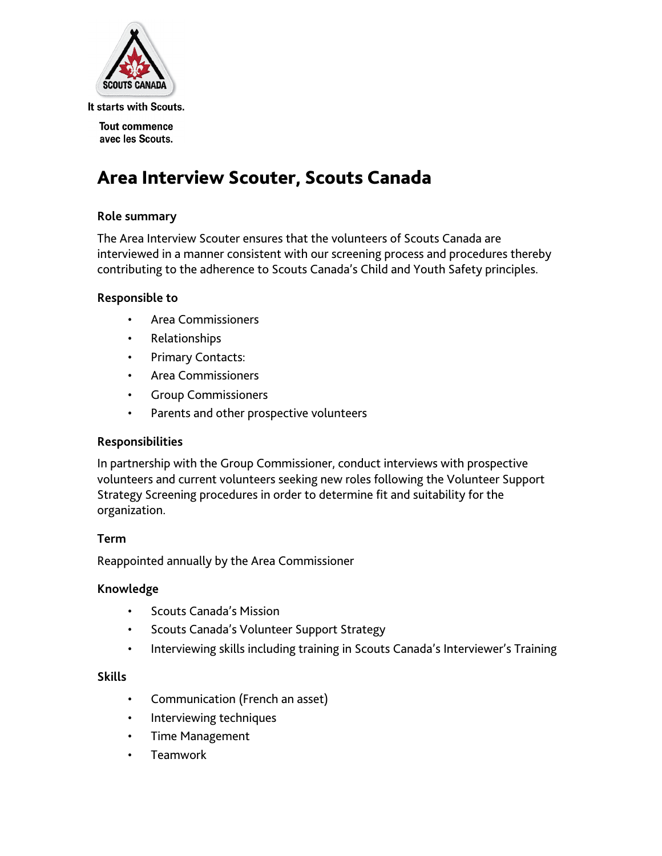

It starts with Scouts.

**Tout commence** avec les Scouts.

# Area Interview Scouter, Scouts Canada

# **Role summary**

The Area Interview Scouter ensures that the volunteers of Scouts Canada are interviewed in a manner consistent with our screening process and procedures thereby contributing to the adherence to Scouts Canada's Child and Youth Safety principles.

# **Responsible to**

- Area Commissioners
- Relationships
- Primary Contacts:
- Area Commissioners
- Group Commissioners
- Parents and other prospective volunteers

#### **Responsibilities**

In partnership with the Group Commissioner, conduct interviews with prospective volunteers and current volunteers seeking new roles following the Volunteer Support Strategy Screening procedures in order to determine fit and suitability for the organization.

#### **Term**

Reappointed annually by the Area Commissioner

#### **Knowledge**

- Scouts Canada's Mission
- Scouts Canada's Volunteer Support Strategy
- Interviewing skills including training in Scouts Canada's Interviewer's Training

#### **Skills**

- Communication (French an asset)
- Interviewing techniques
- Time Management
- **Teamwork**